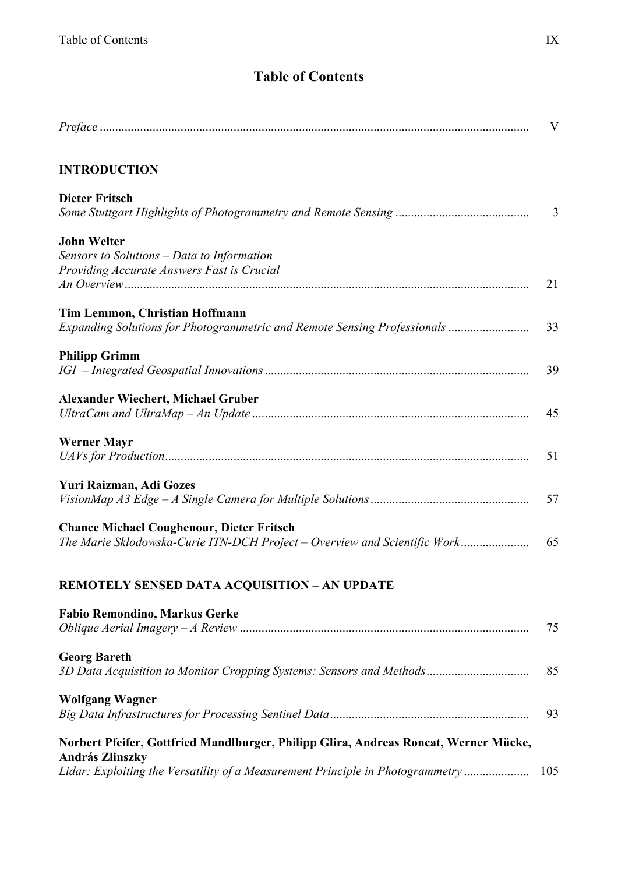## **Table of Contents**

|                                                                                                          | $\mathbf{V}$   |
|----------------------------------------------------------------------------------------------------------|----------------|
| <b>INTRODUCTION</b>                                                                                      |                |
| <b>Dieter Fritsch</b>                                                                                    |                |
|                                                                                                          | $\overline{3}$ |
| <b>John Welter</b>                                                                                       |                |
| Sensors to Solutions - Data to Information                                                               |                |
| Providing Accurate Answers Fast is Crucial                                                               | 21             |
| <b>Tim Lemmon, Christian Hoffmann</b>                                                                    |                |
| Expanding Solutions for Photogrammetric and Remote Sensing Professionals                                 | 33             |
| <b>Philipp Grimm</b>                                                                                     |                |
|                                                                                                          | 39             |
| <b>Alexander Wiechert, Michael Gruber</b>                                                                |                |
|                                                                                                          | 45             |
| <b>Werner Mayr</b>                                                                                       |                |
|                                                                                                          | 51             |
| Yuri Raizman, Adi Gozes                                                                                  |                |
|                                                                                                          | 57             |
| <b>Chance Michael Coughenour, Dieter Fritsch</b>                                                         |                |
| The Marie Skłodowska-Curie ITN-DCH Project – Overview and Scientific Work                                | 65             |
| <b>REMOTELY SENSED DATA ACQUISITION - AN UPDATE</b>                                                      |                |
| <b>Fabio Remondino, Markus Gerke</b>                                                                     |                |
|                                                                                                          | 75             |
| <b>Georg Bareth</b>                                                                                      |                |
| 3D Data Acquisition to Monitor Cropping Systems: Sensors and Methods                                     | 85             |
| <b>Wolfgang Wagner</b>                                                                                   |                |
|                                                                                                          | 93             |
| Norbert Pfeifer, Gottfried Mandlburger, Philipp Glira, Andreas Roncat, Werner Mücke,                     |                |
| <b>András Zlinszky</b><br>Lidar: Exploiting the Versatility of a Measurement Principle in Photogrammetry | 105            |
|                                                                                                          |                |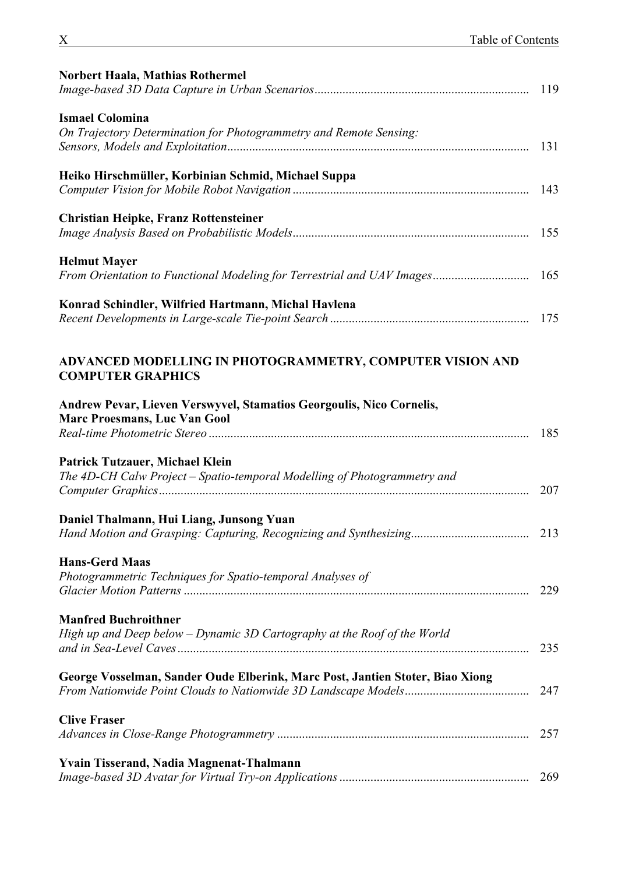| <b>Norbert Haala, Mathias Rothermel</b>                                                                            | 119 |
|--------------------------------------------------------------------------------------------------------------------|-----|
| <b>Ismael Colomina</b><br>On Trajectory Determination for Photogrammetry and Remote Sensing:                       | 131 |
| Heiko Hirschmüller, Korbinian Schmid, Michael Suppa                                                                | 143 |
| <b>Christian Heipke, Franz Rottensteiner</b>                                                                       | 155 |
| <b>Helmut Mayer</b>                                                                                                |     |
| Konrad Schindler, Wilfried Hartmann, Michal Havlena                                                                | 175 |
| ADVANCED MODELLING IN PHOTOGRAMMETRY, COMPUTER VISION AND<br><b>COMPUTER GRAPHICS</b>                              |     |
| Andrew Pevar, Lieven Verswyvel, Stamatios Georgoulis, Nico Cornelis,<br><b>Marc Proesmans, Luc Van Gool</b>        | 185 |
| <b>Patrick Tutzauer, Michael Klein</b><br>The 4D-CH Calw Project - Spatio-temporal Modelling of Photogrammetry and | 207 |
| Daniel Thalmann, Hui Liang, Junsong Yuan                                                                           |     |
| <b>Hans-Gerd Maas</b><br>Photogrammetric Techniques for Spatio-temporal Analyses of                                | 229 |
| <b>Manfred Buchroithner</b><br>High up and Deep below - Dynamic 3D Cartography at the Roof of the World            | 235 |
| George Vosselman, Sander Oude Elberink, Marc Post, Jantien Stoter, Biao Xiong                                      | 247 |
| <b>Clive Fraser</b>                                                                                                | 257 |
| <b>Yvain Tisserand, Nadia Magnenat-Thalmann</b>                                                                    | 269 |